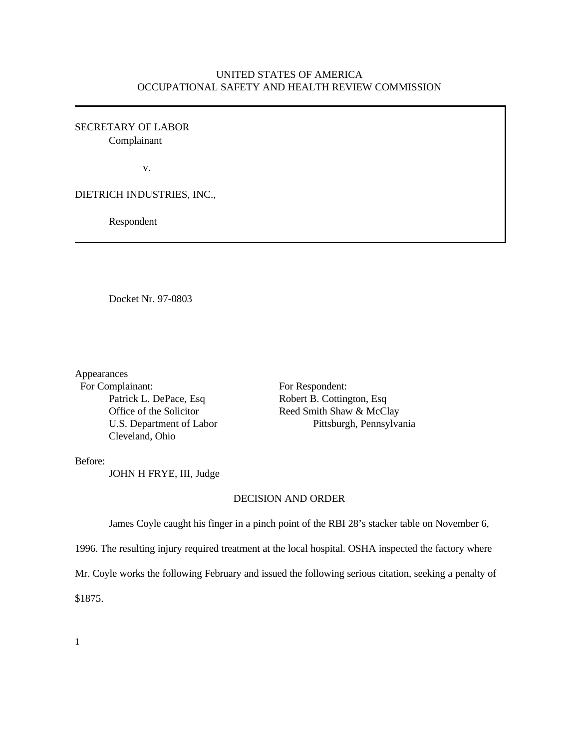## UNITED STATES OF AMERICA OCCUPATIONAL SAFETY AND HEALTH REVIEW COMMISSION

SECRETARY OF LABOR Complainant

v.

DIETRICH INDUSTRIES, INC.,

Respondent

Docket Nr. 97-0803

Appearances

For Complainant: For Respondent: Patrick L. DePace, Esq Robert B. Cottington, Esq Cleveland, Ohio

Office of the Solicitor Reed Smith Shaw & McClay U.S. Department of Labor Pittsburgh, Pennsylvania

Before:

JOHN H FRYE, III, Judge

## DECISION AND ORDER

James Coyle caught his finger in a pinch point of the RBI 28's stacker table on November 6,

1996. The resulting injury required treatment at the local hospital. OSHA inspected the factory where

Mr. Coyle works the following February and issued the following serious citation, seeking a penalty of

\$1875.

1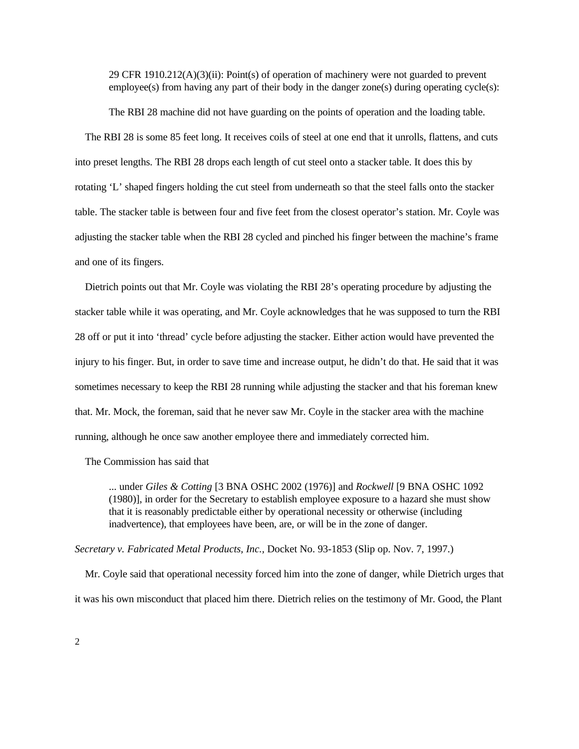29 CFR  $1910.212(A)(3)(ii)$ : Point(s) of operation of machinery were not guarded to prevent  $emነ$  employee(s) from having any part of their body in the danger zone(s) during operating cycle(s):

The RBI 28 machine did not have guarding on the points of operation and the loading table.

The RBI 28 is some 85 feet long. It receives coils of steel at one end that it unrolls, flattens, and cuts into preset lengths. The RBI 28 drops each length of cut steel onto a stacker table. It does this by rotating 'L' shaped fingers holding the cut steel from underneath so that the steel falls onto the stacker table. The stacker table is between four and five feet from the closest operator's station. Mr. Coyle was adjusting the stacker table when the RBI 28 cycled and pinched his finger between the machine's frame and one of its fingers.

Dietrich points out that Mr. Coyle was violating the RBI 28's operating procedure by adjusting the stacker table while it was operating, and Mr. Coyle acknowledges that he was supposed to turn the RBI 28 off or put it into 'thread' cycle before adjusting the stacker. Either action would have prevented the injury to his finger. But, in order to save time and increase output, he didn't do that. He said that it was sometimes necessary to keep the RBI 28 running while adjusting the stacker and that his foreman knew that. Mr. Mock, the foreman, said that he never saw Mr. Coyle in the stacker area with the machine running, although he once saw another employee there and immediately corrected him.

The Commission has said that

... under *Giles & Cotting* [3 BNA OSHC 2002 (1976)] and *Rockwell* [9 BNA OSHC 1092 (1980)], in order for the Secretary to establish employee exposure to a hazard she must show that it is reasonably predictable either by operational necessity or otherwise (including inadvertence), that employees have been, are, or will be in the zone of danger.

*Secretary v. Fabricated Metal Products, Inc.,* Docket No. 93-1853 (Slip op. Nov. 7, 1997.)

Mr. Coyle said that operational necessity forced him into the zone of danger, while Dietrich urges that it was his own misconduct that placed him there. Dietrich relies on the testimony of Mr. Good, the Plant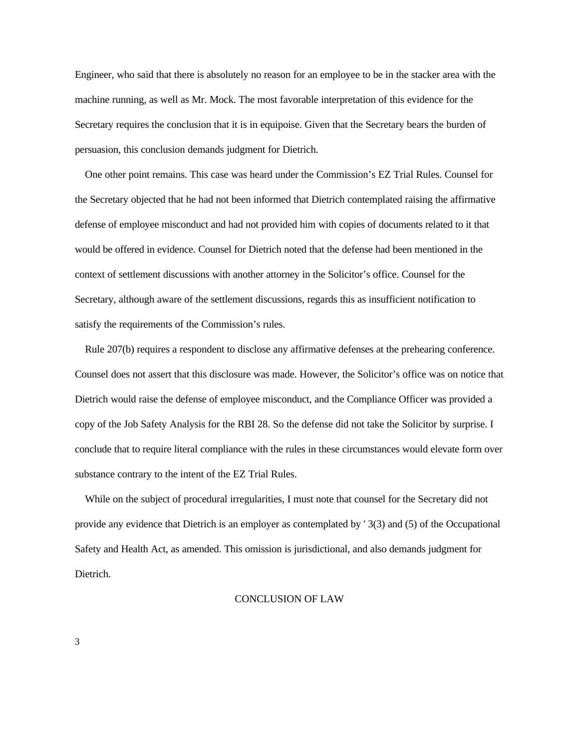Engineer, who said that there is absolutely no reason for an employee to be in the stacker area with the machine running, as well as Mr. Mock. The most favorable interpretation of this evidence for the Secretary requires the conclusion that it is in equipoise. Given that the Secretary bears the burden of persuasion, this conclusion demands judgment for Dietrich.

One other point remains. This case was heard under the Commission's EZ Trial Rules. Counsel for the Secretary objected that he had not been informed that Dietrich contemplated raising the affirmative defense of employee misconduct and had not provided him with copies of documents related to it that would be offered in evidence. Counsel for Dietrich noted that the defense had been mentioned in the context of settlement discussions with another attorney in the Solicitor's office. Counsel for the Secretary, although aware of the settlement discussions, regards this as insufficient notification to satisfy the requirements of the Commission's rules.

Rule 207(b) requires a respondent to disclose any affirmative defenses at the prehearing conference. Counsel does not assert that this disclosure was made. However, the Solicitor's office was on notice that Dietrich would raise the defense of employee misconduct, and the Compliance Officer was provided a copy of the Job Safety Analysis for the RBI 28. So the defense did not take the Solicitor by surprise. I conclude that to require literal compliance with the rules in these circumstances would elevate form over substance contrary to the intent of the EZ Trial Rules.

While on the subject of procedural irregularities, I must note that counsel for the Secretary did not provide any evidence that Dietrich is an employer as contemplated by ' 3(3) and (5) of the Occupational Safety and Health Act, as amended. This omission is jurisdictional, and also demands judgment for Dietrich.

## CONCLUSION OF LAW